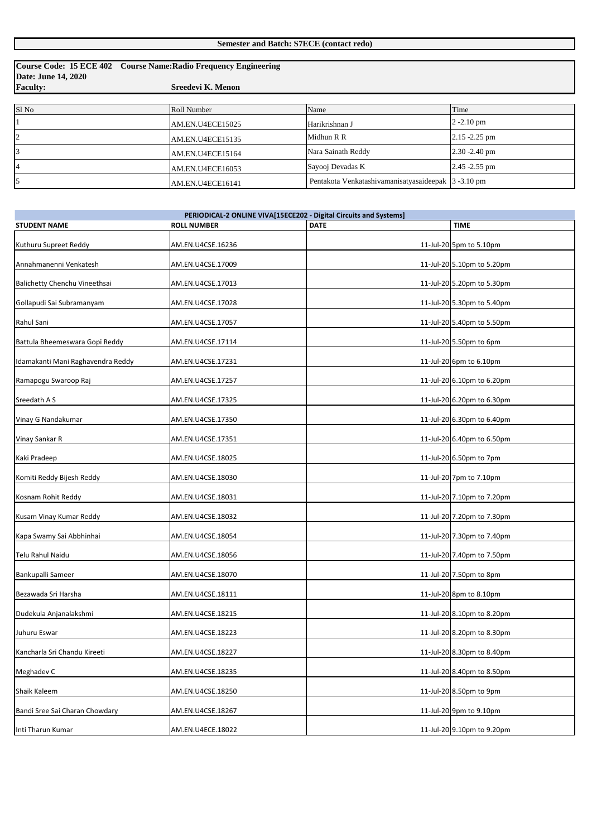|                     | Course Code: 15 ECE 402 Course Name: Radio Frequency Engineering |                                                     |                  |
|---------------------|------------------------------------------------------------------|-----------------------------------------------------|------------------|
| Date: June 14, 2020 |                                                                  |                                                     |                  |
| <b>Faculty:</b>     | Sreedevi K. Menon                                                |                                                     |                  |
|                     |                                                                  |                                                     |                  |
| Sl <sub>No</sub>    | Roll Number                                                      | Name                                                | Time             |
|                     | AM.EN.U4ECE15025                                                 | Harikrishnan J                                      | $2 - 2.10$ pm    |
| $\overline{2}$      | AM.EN.U4ECE15135                                                 | Midhun R R                                          | $2.15 - 2.25$ pm |
|                     | AM.EN.U4ECE15164                                                 | Nara Sainath Reddy                                  | $2.30 - 2.40$ pm |
| $\overline{4}$      | AM.EN.U4ECE16053                                                 | Sayooj Devadas K                                    | $2.45 - 2.55$ pm |
| 5                   | AM.EN.U4ECE16141                                                 | Pentakota Venkatashivamanisatyasaideepak 3 -3.10 pm |                  |

| PERIODICAL-2 ONLINE VIVA[15ECE202 - Digital Circuits and Systems] |                    |             |  |                            |
|-------------------------------------------------------------------|--------------------|-------------|--|----------------------------|
| <b>STUDENT NAME</b>                                               | <b>ROLL NUMBER</b> | <b>DATE</b> |  | <b>TIME</b>                |
| Kuthuru Supreet Reddy                                             | AM.EN.U4CSE.16236  |             |  | 11-Jul-20 5pm to 5.10pm    |
| Annahmanenni Venkatesh                                            | AM.EN.U4CSE.17009  |             |  | 11-Jul-20 5.10pm to 5.20pm |
| Balichetty Chenchu Vineethsai                                     | AM.EN.U4CSE.17013  |             |  | 11-Jul-20 5.20pm to 5.30pm |
| Gollapudi Sai Subramanyam                                         | AM.EN.U4CSE.17028  |             |  | 11-Jul-20 5.30pm to 5.40pm |
| Rahul Sani                                                        | AM.EN.U4CSE.17057  |             |  | 11-Jul-20 5.40pm to 5.50pm |
| Battula Bheemeswara Gopi Reddy                                    | AM.EN.U4CSE.17114  |             |  | 11-Jul-20 5.50pm to 6pm    |
| Idamakanti Mani Raghavendra Reddy                                 | AM.EN.U4CSE.17231  |             |  | 11-Jul-20 6pm to 6.10pm    |
| Ramapogu Swaroop Raj                                              | AM.EN.U4CSE.17257  |             |  | 11-Jul-20 6.10pm to 6.20pm |
| Sreedath A S                                                      | AM.EN.U4CSE.17325  |             |  | 11-Jul-20 6.20pm to 6.30pm |
| Vinay G Nandakumar                                                | AM.EN.U4CSE.17350  |             |  | 11-Jul-20 6.30pm to 6.40pm |
| Vinay Sankar R                                                    | AM.EN.U4CSE.17351  |             |  | 11-Jul-20 6.40pm to 6.50pm |
| Kaki Pradeep                                                      | AM.EN.U4CSE.18025  |             |  | 11-Jul-20 6.50pm to 7pm    |
| Komiti Reddy Bijesh Reddy                                         | AM.EN.U4CSE.18030  |             |  | 11-Jul-20 7pm to 7.10pm    |
| Kosnam Rohit Reddy                                                | AM.EN.U4CSE.18031  |             |  | 11-Jul-20 7.10pm to 7.20pm |
| Kusam Vinay Kumar Reddy                                           | AM.EN.U4CSE.18032  |             |  | 11-Jul-20 7.20pm to 7.30pm |
| Kapa Swamy Sai Abbhinhai                                          | AM.EN.U4CSE.18054  |             |  | 11-Jul-20 7.30pm to 7.40pm |
| <b>Telu Rahul Naidu</b>                                           | AM.EN.U4CSE.18056  |             |  | 11-Jul-20 7.40pm to 7.50pm |
| Bankupalli Sameer                                                 | AM.EN.U4CSE.18070  |             |  | 11-Jul-20 7.50pm to 8pm    |
| Bezawada Sri Harsha                                               | AM.EN.U4CSE.18111  |             |  | 11-Jul-20 8pm to 8.10pm    |
| Dudekula Anjanalakshmi                                            | AM.EN.U4CSE.18215  |             |  | 11-Jul-20 8.10pm to 8.20pm |
| Juhuru Eswar                                                      | AM.EN.U4CSE.18223  |             |  | 11-Jul-20 8.20pm to 8.30pm |
| Kancharla Sri Chandu Kireeti                                      | AM.EN.U4CSE.18227  |             |  | 11-Jul-20 8.30pm to 8.40pm |
| Meghadev C                                                        | AM.EN.U4CSE.18235  |             |  | 11-Jul-20 8.40pm to 8.50pm |
| Shaik Kaleem                                                      | AM.EN.U4CSE.18250  |             |  | 11-Jul-20 8.50pm to 9pm    |
| Bandi Sree Sai Charan Chowdary                                    | AM.EN.U4CSE.18267  |             |  | 11-Jul-20 9pm to 9.10pm    |
| Inti Tharun Kumar                                                 | AM.EN.U4ECE.18022  |             |  | 11-Jul-20 9.10pm to 9.20pm |

## **Semester and Batch: S7ECE (contact redo)**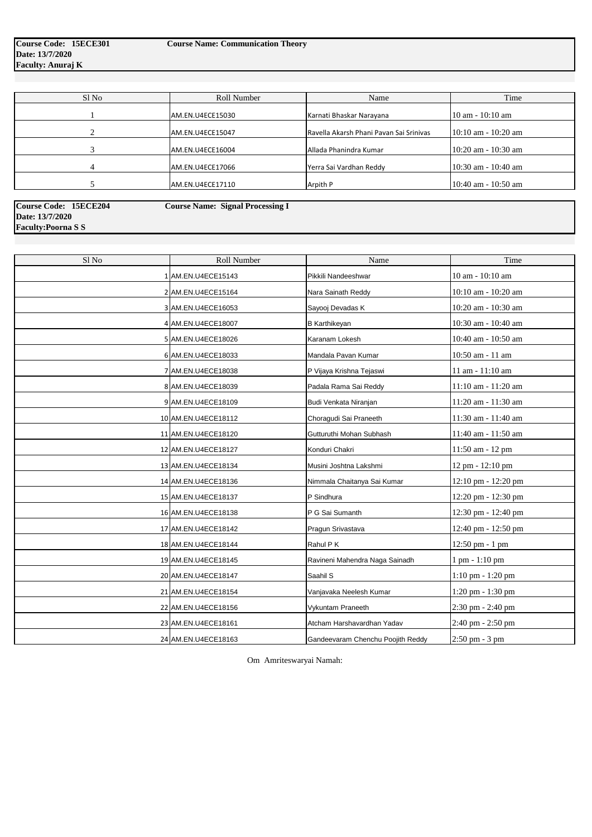| Sl No | Roll Number      | Name                                    | Time                 |
|-------|------------------|-----------------------------------------|----------------------|
|       | AM.EN.U4ECE15030 | Karnati Bhaskar Narayana                | $10$ am $- 10:10$ am |
|       | AM.EN.U4ECE15047 | Ravella Akarsh Phani Pavan Sai Srinivas | 10:10 am - 10:20 am  |
|       | AM.EN.U4ECE16004 | Allada Phanindra Kumar                  | 10:20 am - 10:30 am  |
| 4     | AM.EN.U4ECE17066 | Yerra Sai Vardhan Reddy                 | 10:30 am - 10:40 am  |
|       | AM.EN.U4ECE17110 | Arpith P                                | 10:40 am - 10:50 am  |
|       |                  |                                         |                      |

| Sl No | Roll Number         | Name                           | Time                             |
|-------|---------------------|--------------------------------|----------------------------------|
|       | 1 AM.EN.U4ECE15143  | Pikkili Nandeeshwar            | 10 am - 10:10 am                 |
|       | 2 AM.EN.U4ECE15164  | Nara Sainath Reddy             | 10:10 am - 10:20 am              |
|       | 3 AM.EN.U4ECE16053  | Sayooj Devadas K               | 10:20 am - 10:30 am              |
|       | 4 AM.EN.U4ECE18007  | <b>B</b> Karthikeyan           | 10:30 am - 10:40 am              |
|       | 5 AM.EN.U4ECE18026  | Karanam Lokesh                 | 10:40 am - 10:50 am              |
|       | 6 AM.EN.U4ECE18033  | Mandala Pavan Kumar            | 10:50 am - 11 am                 |
|       | 7 AM.EN.U4ECE18038  | P Vijaya Krishna Tejaswi       | 11 am - 11:10 am                 |
|       | 8 AM.EN.U4ECE18039  | Padala Rama Sai Reddy          | 11:10 am - 11:20 am              |
|       | 9 AM.EN.U4ECE18109  | Budi Venkata Niranjan          | 11:20 am - 11:30 am              |
|       | 10 AM.EN.U4ECE18112 | Choragudi Sai Praneeth         | 11:30 am - 11:40 am              |
|       | 11 AM.EN.U4ECE18120 | Gutturuthi Mohan Subhash       | 11:40 am - 11:50 am              |
|       | 12 AM.EN.U4ECE18127 | Konduri Chakri                 | 11:50 am - 12 pm                 |
|       | 13 AM.EN.U4ECE18134 | Musini Joshtna Lakshmi         | 12 pm - 12:10 pm                 |
|       | 14 AM.EN.U4ECE18136 | Nimmala Chaitanya Sai Kumar    | 12:10 pm - 12:20 pm              |
|       | 15 AM.EN.U4ECE18137 | P Sindhura                     | 12:20 pm - 12:30 pm              |
|       | 16 AM.EN.U4ECE18138 | P G Sai Sumanth                | 12:30 pm - 12:40 pm              |
|       | 17 AM.EN.U4ECE18142 | Pragun Srivastava              | 12:40 pm - 12:50 pm              |
|       | 18 AM.EN.U4ECE18144 | Rahul P K                      | 12:50 pm - 1 pm                  |
|       | 19 AM.EN.U4ECE18145 | Ravineni Mahendra Naga Sainadh | $1 \text{ pm} - 1:10 \text{ pm}$ |
|       | 20 AM.EN.U4ECE18147 | Saahil S                       | $1:10$ pm $-1:20$ pm             |
|       | 21 AM.EN.U4ECE18154 | Vanjavaka Neelesh Kumar        | $1:20$ pm $-1:30$ pm             |
|       | 22 AM.EN.U4ECE18156 | Vykuntam Praneeth              | 2:30 pm - 2:40 pm                |
|       | 23 AM.EN.U4ECE18161 | Atcham Harshavardhan Yadav     | 2:40 pm - 2:50 pm                |

| Course Code: 15ECE204    | <b>Course Name: Signal Processing I</b> |  |
|--------------------------|-----------------------------------------|--|
| Date: 13/7/2020          |                                         |  |
| <b>Faculty:Poorna SS</b> |                                         |  |

Om Amriteswaryai Namah: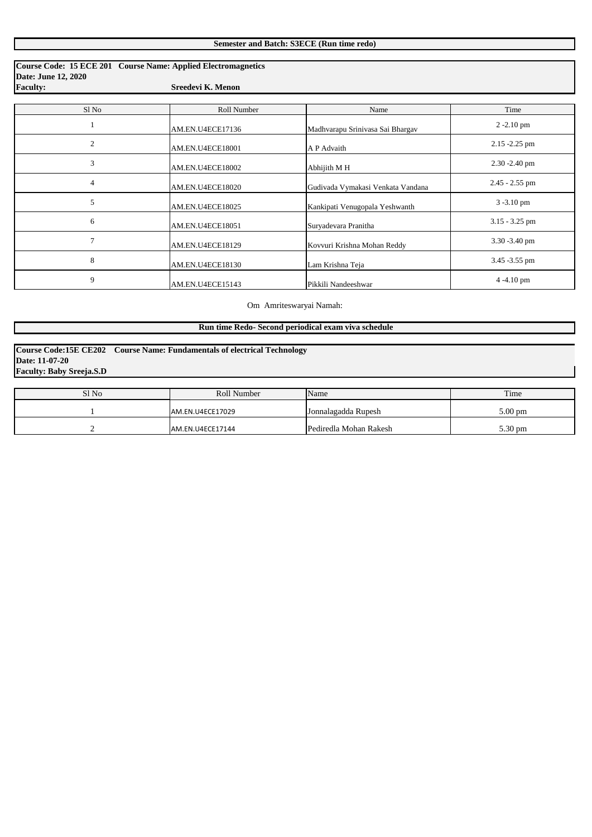|                                               | Course Code: 15 ECE 201 Course Name: Applied Electromagnetics |                                   |                  |
|-----------------------------------------------|---------------------------------------------------------------|-----------------------------------|------------------|
| <b>Date: June 12, 2020</b><br><b>Faculty:</b> | Sreedevi K. Menon                                             |                                   |                  |
|                                               |                                                               |                                   |                  |
| Sl No                                         | Roll Number                                                   | Name                              | Time             |
|                                               | AM.EN.U4ECE17136                                              | Madhvarapu Srinivasa Sai Bhargav  | $2 - 2.10$ pm    |
| $\overline{2}$                                | AM.EN.U4ECE18001                                              | A P Advaith                       | $2.15 - 2.25$ pm |
| 3                                             | AM.EN.U4ECE18002                                              | Abhijith M H                      | $2.30 - 2.40$ pm |
| $\overline{4}$                                | AM.EN.U4ECE18020                                              | Gudivada Vymakasi Venkata Vandana | $2.45 - 2.55$ pm |
| 5                                             | AM.EN.U4ECE18025                                              | Kankipati Venugopala Yeshwanth    | 3-3.10 pm        |
| 6                                             | AM.EN.U4ECE18051                                              | Suryadevara Pranitha              | $3.15 - 3.25$ pm |
| 7                                             | AM.EN.U4ECE18129                                              | Kovvuri Krishna Mohan Reddy       | $3.30 - 3.40$ pm |
| $8\,$                                         | AM.EN.U4ECE18130                                              | Lam Krishna Teja                  | 3.45 - 3.55 pm   |
| 9                                             | AM.EN.U4ECE15143                                              | Pikkili Nandeeshwar               | 4-4.10 pm        |

| Sl No | Roll Number       | Name                   | Time              |
|-------|-------------------|------------------------|-------------------|
|       | AM.EN.U4ECE17029  | Jonnalagadda Rupesh    | $5.00 \text{ pm}$ |
|       | JAM.EN.U4ECE17144 | Pediredla Mohan Rakesh | 5.30 pm           |

**Faculty: Baby Sreeja.S.D Course Code:15E CE202 Course Name: Fundamentals of electrical Technology Date: 11-07-20**

## Om Amriteswaryai Namah:

 **Run time Redo- Second periodical exam viva schedule**

| <b>Semester and Batch: S3ECE (Run time redo)</b> |  |  |  |  |
|--------------------------------------------------|--|--|--|--|
|--------------------------------------------------|--|--|--|--|